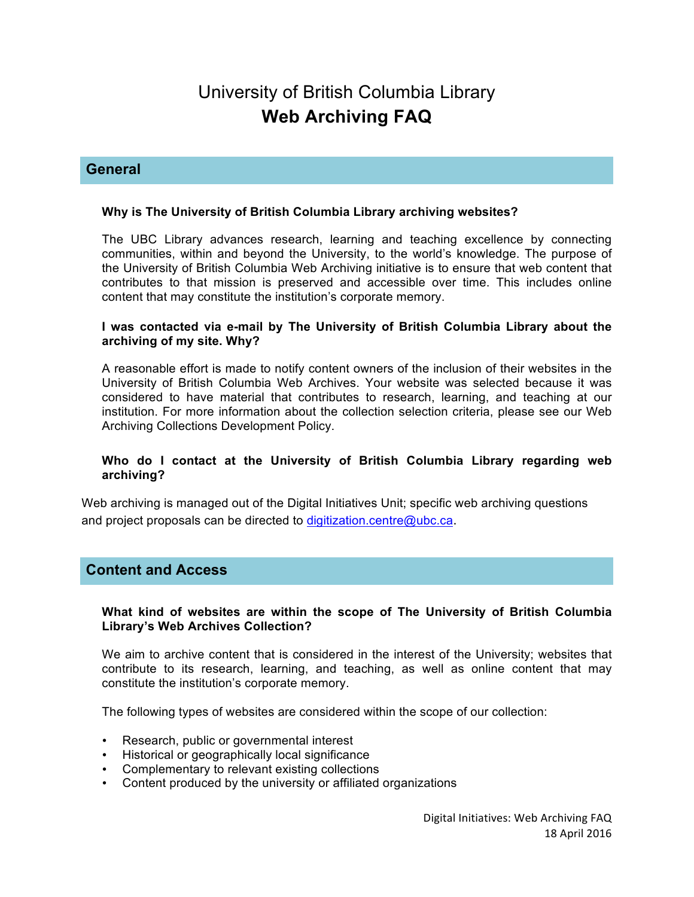# University of British Columbia Library **Web Archiving FAQ**

# **General**

# **Why is The University of British Columbia Library archiving websites?**

The UBC Library advances research, learning and teaching excellence by connecting communities, within and beyond the University, to the world's knowledge. The purpose of the University of British Columbia Web Archiving initiative is to ensure that web content that contributes to that mission is preserved and accessible over time. This includes online content that may constitute the institution's corporate memory.

### **I was contacted via e-mail by The University of British Columbia Library about the archiving of my site. Why?**

A reasonable effort is made to notify content owners of the inclusion of their websites in the University of British Columbia Web Archives. Your website was selected because it was considered to have material that contributes to research, learning, and teaching at our institution. For more information about the collection selection criteria, please see our Web Archiving Collections Development Policy.

# **Who do I contact at the University of British Columbia Library regarding web archiving?**

Web archiving is managed out of the Digital Initiatives Unit; specific web archiving questions and project proposals can be directed to digitization.centre@ubc.ca.

# **Content and Access**

#### **What kind of websites are within the scope of The University of British Columbia Library's Web Archives Collection?**

We aim to archive content that is considered in the interest of the University; websites that contribute to its research, learning, and teaching, as well as online content that may constitute the institution's corporate memory.

The following types of websites are considered within the scope of our collection:

- Research, public or governmental interest
- Historical or geographically local significance
- Complementary to relevant existing collections
- Content produced by the university or affiliated organizations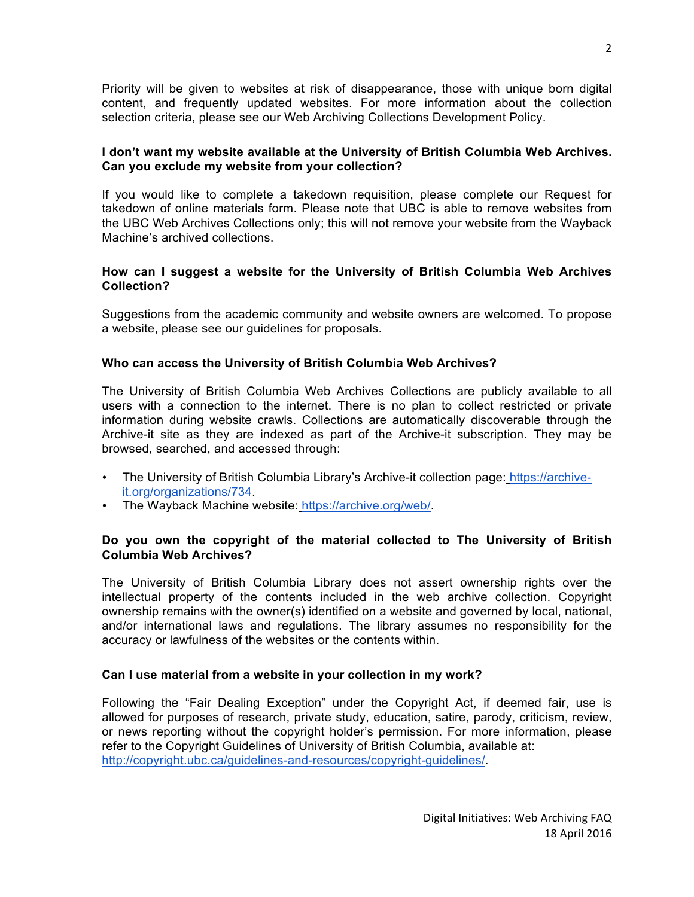Priority will be given to websites at risk of disappearance, those with unique born digital content, and frequently updated websites. For more information about the collection selection criteria, please see our Web Archiving Collections Development Policy.

# **I don't want my website available at the University of British Columbia Web Archives. Can you exclude my website from your collection?**

If you would like to complete a takedown requisition, please complete our Request for takedown of online materials form. Please note that UBC is able to remove websites from the UBC Web Archives Collections only; this will not remove your website from the Wayback Machine's archived collections.

# **How can I suggest a website for the University of British Columbia Web Archives Collection?**

Suggestions from the academic community and website owners are welcomed. To propose a website, please see our guidelines for proposals.

# **Who can access the University of British Columbia Web Archives?**

The University of British Columbia Web Archives Collections are publicly available to all users with a connection to the internet. There is no plan to collect restricted or private information during website crawls. Collections are automatically discoverable through the Archive-it site as they are indexed as part of the Archive-it subscription. They may be browsed, searched, and accessed through:

- The University of British Columbia Library's Archive-it collection page: https://archiveit.org/organizations/734.
- The Wayback Machine website: https://archive.org/web/.

# **Do you own the copyright of the material collected to The University of British Columbia Web Archives?**

The University of British Columbia Library does not assert ownership rights over the intellectual property of the contents included in the web archive collection. Copyright ownership remains with the owner(s) identified on a website and governed by local, national, and/or international laws and regulations. The library assumes no responsibility for the accuracy or lawfulness of the websites or the contents within.

#### **Can I use material from a website in your collection in my work?**

Following the "Fair Dealing Exception" under the Copyright Act, if deemed fair, use is allowed for purposes of research, private study, education, satire, parody, criticism, review, or news reporting without the copyright holder's permission. For more information, please refer to the Copyright Guidelines of University of British Columbia, available at: http://copyright.ubc.ca/guidelines-and-resources/copyright-guidelines/.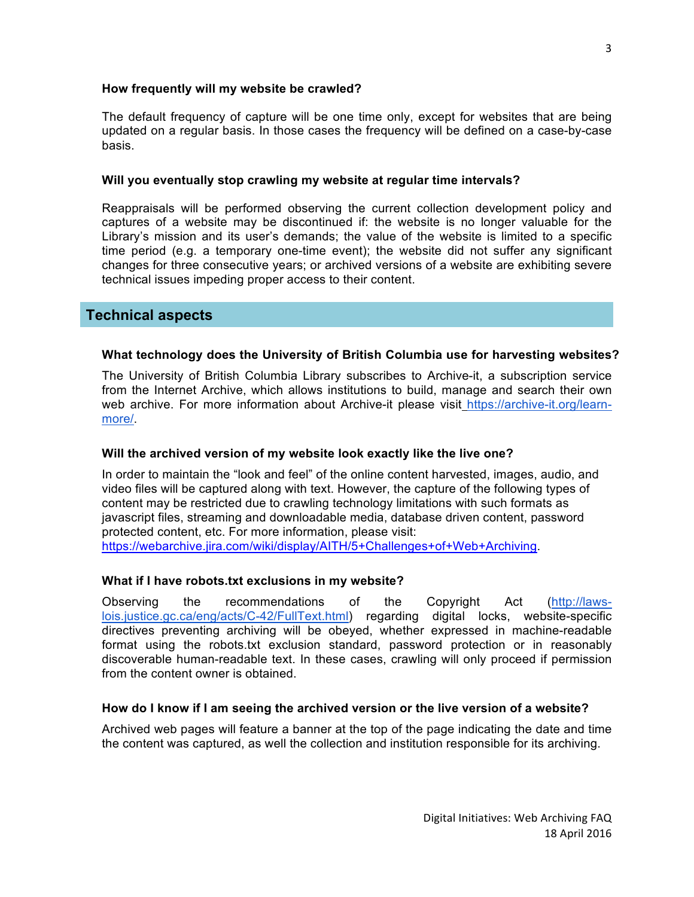#### **How frequently will my website be crawled?**

The default frequency of capture will be one time only, except for websites that are being updated on a regular basis. In those cases the frequency will be defined on a case-by-case basis.

#### **Will you eventually stop crawling my website at regular time intervals?**

Reappraisals will be performed observing the current collection development policy and captures of a website may be discontinued if: the website is no longer valuable for the Library's mission and its user's demands; the value of the website is limited to a specific time period (e.g. a temporary one-time event); the website did not suffer any significant changes for three consecutive years; or archived versions of a website are exhibiting severe technical issues impeding proper access to their content.

# **Technical aspects**

#### **What technology does the University of British Columbia use for harvesting websites?**

The University of British Columbia Library subscribes to Archive-it, a subscription service from the Internet Archive, which allows institutions to build, manage and search their own web archive. For more information about Archive-it please visit https://archive-it.org/learnmore/.

#### **Will the archived version of my website look exactly like the live one?**

In order to maintain the "look and feel" of the online content harvested, images, audio, and video files will be captured along with text. However, the capture of the following types of content may be restricted due to crawling technology limitations with such formats as javascript files, streaming and downloadable media, database driven content, password protected content, etc. For more information, please visit: https://webarchive.jira.com/wiki/display/AITH/5+Challenges+of+Web+Archiving.

#### **What if I have robots.txt exclusions in my website?**

Observing the recommendations of the Copyright Act (http://lawslois.justice.gc.ca/eng/acts/C-42/FullText.html) regarding digital locks, website-specific directives preventing archiving will be obeyed, whether expressed in machine-readable format using the robots.txt exclusion standard, password protection or in reasonably discoverable human-readable text. In these cases, crawling will only proceed if permission from the content owner is obtained.

#### **How do I know if I am seeing the archived version or the live version of a website?**

Archived web pages will feature a banner at the top of the page indicating the date and time the content was captured, as well the collection and institution responsible for its archiving.